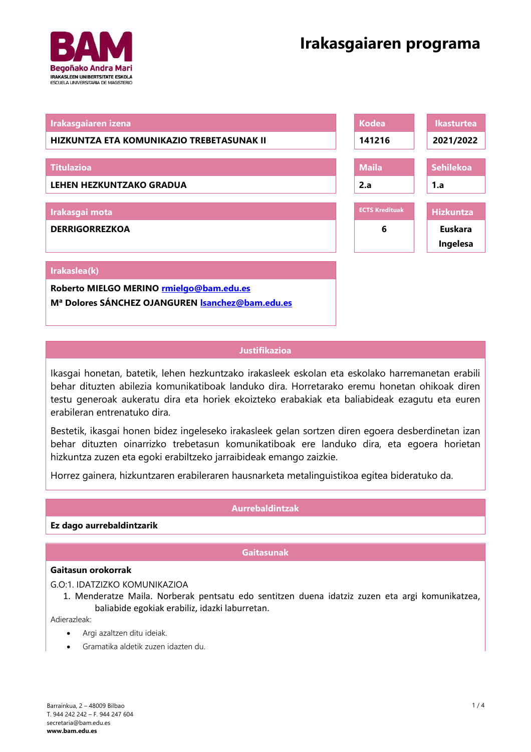# **Irakasgaiaren programa**



| Irakasgaiaren izena                                    | <b>Kodea</b>          | <b>Ikasturtea</b> |
|--------------------------------------------------------|-----------------------|-------------------|
| HIZKUNTZA ETA KOMUNIKAZIO TREBETASUNAK II              | 141216                | 2021/2022         |
|                                                        |                       |                   |
| <b>Titulazioa</b>                                      | <b>Maila</b>          | <b>Sehilekoa</b>  |
| <b>LEHEN HEZKUNTZAKO GRADUA</b>                        | 2.a                   | 1.a               |
|                                                        |                       |                   |
| Irakasgai mota                                         | <b>ECTS Kredituak</b> | <b>Hizkuntza</b>  |
| <b>DERRIGORREZKOA</b>                                  | 6                     | Euskara           |
|                                                        |                       | Ingelesa          |
|                                                        |                       |                   |
| Irakaslea(k)                                           |                       |                   |
| Roberto MIELGO MERINO rmielgo@bam.edu.es               |                       |                   |
| Mª Dolores SÁNCHEZ OJANGUREN <i>Sanchez@bam.edu.es</i> |                       |                   |

# **Justifikazioa**

Ikasgai honetan, batetik, lehen hezkuntzako irakasleek eskolan eta eskolako harremanetan erabili behar dituzten abilezia komunikatiboak landuko dira. Horretarako eremu honetan ohikoak diren testu generoak aukeratu dira eta horiek ekoizteko erabakiak eta baliabideak ezagutu eta euren erabileran entrenatuko dira.

Bestetik, ikasgai honen bidez ingeleseko irakasleek gelan sortzen diren egoera desberdinetan izan behar dituzten oinarrizko trebetasun komunikatiboak ere landuko dira, eta egoera horietan hizkuntza zuzen eta egoki erabiltzeko jarraibideak emango zaizkie.

Horrez gainera, hizkuntzaren erabileraren hausnarketa metalinguistikoa egitea bideratuko da.

## **Aurrebaldintzak**

**Ez dago aurrebaldintzarik**

## **Gaitasunak**

## **Gaitasun orokorrak**

G.O:1. IDATZIZKO KOMUNIKAZIOA

1. Menderatze Maila. Norberak pentsatu edo sentitzen duena idatziz zuzen eta argi komunikatzea, baliabide egokiak erabiliz, idazki laburretan.

Adierazleak:

- Argi azaltzen ditu ideiak.
- Gramatika aldetik zuzen idazten du.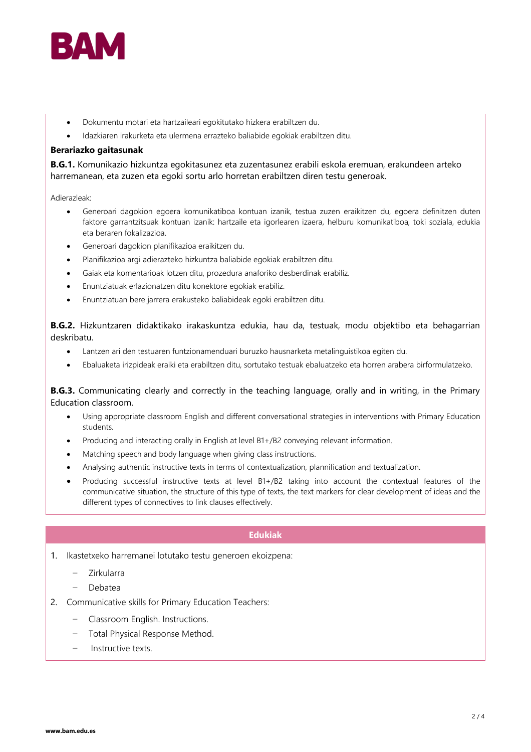

- Dokumentu motari eta hartzaileari egokitutako hizkera erabiltzen du.
- Idazkiaren irakurketa eta ulermena errazteko baliabide egokiak erabiltzen ditu.

## **Berariazko gaitasunak**

**B.G.1.** Komunikazio hizkuntza egokitasunez eta zuzentasunez erabili eskola eremuan, erakundeen arteko harremanean, eta zuzen eta egoki sortu arlo horretan erabiltzen diren testu generoak.

Adierazleak:

- Generoari dagokion egoera komunikatiboa kontuan izanik, testua zuzen eraikitzen du, egoera definitzen duten faktore garrantzitsuak kontuan izanik: hartzaile eta igorlearen izaera, helburu komunikatiboa, toki soziala, edukia eta beraren fokalizazioa.
- Generoari dagokion planifikazioa eraikitzen du.
- Planifikazioa argi adierazteko hizkuntza baliabide egokiak erabiltzen ditu.
- Gaiak eta komentarioak lotzen ditu, prozedura anaforiko desberdinak erabiliz.
- Enuntziatuak erlazionatzen ditu konektore egokiak erabiliz.
- Enuntziatuan bere jarrera erakusteko baliabideak egoki erabiltzen ditu.

**B.G.2.** Hizkuntzaren didaktikako irakaskuntza edukia, hau da, testuak, modu objektibo eta behagarrian deskribatu.

- Lantzen ari den testuaren funtzionamenduari buruzko hausnarketa metalinguistikoa egiten du.
- Ebaluaketa irizpideak eraiki eta erabiltzen ditu, sortutako testuak ebaluatzeko eta horren arabera birformulatzeko.

**B.G.3.** Communicating clearly and correctly in the teaching language, orally and in writing, in the Primary Education classroom.

- Using appropriate classroom English and different conversational strategies in interventions with Primary Education students.
- Producing and interacting orally in English at level B1+/B2 conveying relevant information.
- Matching speech and body language when giving class instructions.
- Analysing authentic instructive texts in terms of contextualization, plannification and textualization.
- Producing successful instructive texts at level B1+/B2 taking into account the contextual features of the communicative situation, the structure of this type of texts, the text markers for clear development of ideas and the different types of connectives to link clauses effectively.

# **Edukiak**

- 1. Ikastetxeko harremanei lotutako testu generoen ekoizpena:
	- − Zirkularra
	- − Debatea
- 2. Communicative skills for Primary Education Teachers:
	- − Classroom English. Instructions.
	- − Total Physical Response Method.
	- − Instructive texts.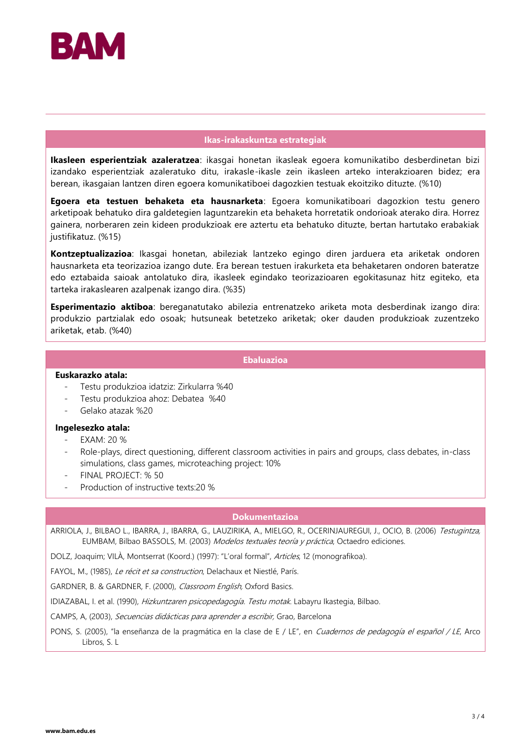

## **Ikas-irakaskuntza estrategiak**

**Ikasleen esperientziak azaleratzea**: ikasgai honetan ikasleak egoera komunikatibo desberdinetan bizi izandako esperientziak azaleratuko ditu, irakasle-ikasle zein ikasleen arteko interakzioaren bidez; era berean, ikasgaian lantzen diren egoera komunikatiboei dagozkien testuak ekoitziko dituzte. (%10)

**Egoera eta testuen behaketa eta hausnarketa**: Egoera komunikatiboari dagozkion testu genero arketipoak behatuko dira galdetegien laguntzarekin eta behaketa horretatik ondorioak aterako dira. Horrez gainera, norberaren zein kideen produkzioak ere aztertu eta behatuko dituzte, bertan hartutako erabakiak justifikatuz. (%15)

**Kontzeptualizazioa**: Ikasgai honetan, abileziak lantzeko egingo diren jarduera eta ariketak ondoren hausnarketa eta teorizazioa izango dute. Era berean testuen irakurketa eta behaketaren ondoren bateratze edo eztabaida saioak antolatuko dira, ikasleek egindako teorizazioaren egokitasunaz hitz egiteko, eta tarteka irakaslearen azalpenak izango dira. (%35)

**Esperimentazio aktiboa**: bereganatutako abilezia entrenatzeko ariketa mota desberdinak izango dira: produkzio partzialak edo osoak; hutsuneak betetzeko ariketak; oker dauden produkzioak zuzentzeko ariketak, etab. (%40)

**Ebaluazioa**

#### **Euskarazko atala:**

- Testu produkzioa idatziz: Zirkularra %40
- Testu produkzioa ahoz: Debatea %40
- Gelako atazak %20

## **Ingelesezko atala:**

- EXAM: 20 %
- Role-plays, direct questioning, different classroom activities in pairs and groups, class debates, in-class simulations, class games, microteaching project: 10%
- FINAL PROJECT: % 50
- Production of instructive texts:20 %

#### **Dokumentazioa**

ARRIOLA, J., BILBAO L., IBARRA, J., IBARRA, G., LAUZIRIKA, A., MIELGO, R., OCERINJAUREGUI, J., OCIO, B. (2006) Testugintza, EUMBAM, Bilbao BASSOLS, M. (2003) Modelos textuales teoría y práctica, Octaedro ediciones.

DOLZ, Joaquim; VILÀ, Montserrat (Koord.) (1997): "L'oral formal", Articles, 12 (monografikoa).

FAYOL, M., (1985), Le récit et sa construction, Delachaux et Niestlé, París.

GARDNER, B. & GARDNER, F. (2000), Classroom English, Oxford Basics.

IDIAZABAL, I. et al. (1990), Hizkuntzaren psicopedagogía. Testu motak. Labayru Ikastegia, Bilbao.

CAMPS, A, (2003), Secuencias didácticas para aprender a escribir, Grao, Barcelona

PONS, S. (2005), "la enseñanza de la pragmática en la clase de E / LE", en Cuadernos de pedagogía el español / LE, Arco Libros, S. L